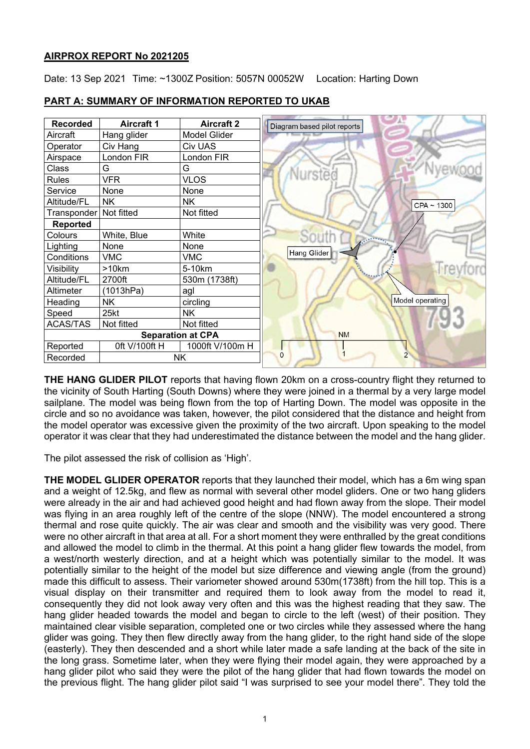## **AIRPROX REPORT No 2021205**

Date: 13 Sep 2021 Time: ~1300Z Position: 5057N 00052W Location: Harting Down

| <b>Recorded</b>          | <b>Aircraft 1</b> | <b>Aircraft 2</b> |  |
|--------------------------|-------------------|-------------------|--|
| Aircraft                 | Hang glider       | Model Glider      |  |
| Operator                 | Civ Hang          | <b>Civ UAS</b>    |  |
| Airspace                 | London FIR        | London FIR        |  |
| Class                    | G                 | G                 |  |
| <b>Rules</b>             | <b>VFR</b>        | <b>VLOS</b>       |  |
| Service                  | None              | None              |  |
| Altitude/FL              | <b>NK</b>         | <b>NK</b>         |  |
| Transponder   Not fitted |                   | Not fitted        |  |
| <b>Reported</b>          |                   |                   |  |
| Colours                  | White, Blue       | White             |  |
| Lighting                 | None              | None              |  |
| Conditions               | <b>VMC</b>        | <b>VMC</b>        |  |
| Visibility               | >10km             | 5-10km            |  |
| Altitude/FL              | 2700ft            | 530m (1738ft)     |  |
| Altimeter                | (1013hPa)         | agl               |  |
| Heading                  | NΚ                | circling          |  |
| Speed                    | 25kt              | <b>NK</b>         |  |
| <b>ACAS/TAS</b>          | Not fitted        | Not fitted        |  |
| <b>Separation at CPA</b> |                   |                   |  |
| Reported                 | 0ft V/100ft H     | 1000ft V/100m H   |  |
| <b>NK</b><br>Recorded    |                   |                   |  |

# **PART A: SUMMARY OF INFORMATION REPORTED TO UKAB**

**THE HANG GLIDER PILOT** reports that having flown 20km on a cross-country flight they returned to the vicinity of South Harting (South Downs) where they were joined in a thermal by a very large model sailplane. The model was being flown from the top of Harting Down. The model was opposite in the circle and so no avoidance was taken, however, the pilot considered that the distance and height from the model operator was excessive given the proximity of the two aircraft. Upon speaking to the model operator it was clear that they had underestimated the distance between the model and the hang glider.

The pilot assessed the risk of collision as 'High'.

**THE MODEL GLIDER OPERATOR** reports that they launched their model, which has a 6m wing span and a weight of 12.5kg, and flew as normal with several other model gliders. One or two hang gliders were already in the air and had achieved good height and had flown away from the slope. Their model was flying in an area roughly left of the centre of the slope (NNW). The model encountered a strong thermal and rose quite quickly. The air was clear and smooth and the visibility was very good. There were no other aircraft in that area at all. For a short moment they were enthralled by the great conditions and allowed the model to climb in the thermal. At this point a hang glider flew towards the model, from a west/north westerly direction, and at a height which was potentially similar to the model. It was potentially similar to the height of the model but size difference and viewing angle (from the ground) made this difficult to assess. Their variometer showed around 530m(1738ft) from the hill top. This is a visual display on their transmitter and required them to look away from the model to read it, consequently they did not look away very often and this was the highest reading that they saw. The hang glider headed towards the model and began to circle to the left (west) of their position. They maintained clear visible separation, completed one or two circles while they assessed where the hang glider was going. They then flew directly away from the hang glider, to the right hand side of the slope (easterly). They then descended and a short while later made a safe landing at the back of the site in the long grass. Sometime later, when they were flying their model again, they were approached by a hang glider pilot who said they were the pilot of the hang glider that had flown towards the model on the previous flight. The hang glider pilot said "I was surprised to see your model there". They told the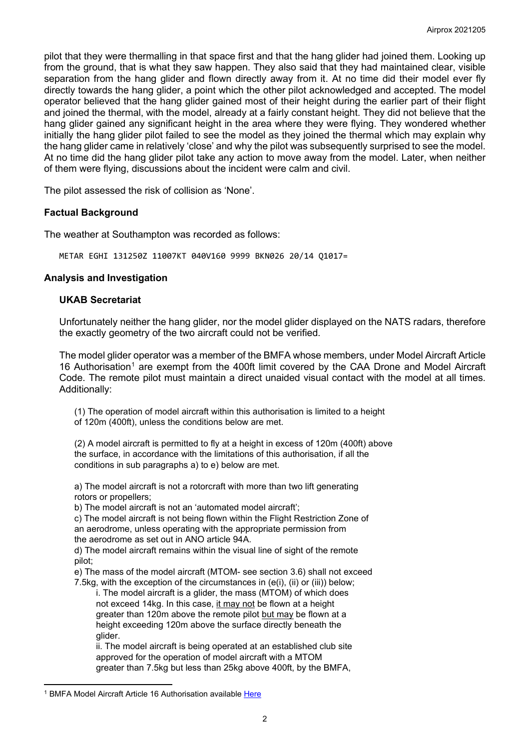pilot that they were thermalling in that space first and that the hang glider had joined them. Looking up from the ground, that is what they saw happen. They also said that they had maintained clear, visible separation from the hang glider and flown directly away from it. At no time did their model ever fly directly towards the hang glider, a point which the other pilot acknowledged and accepted. The model operator believed that the hang glider gained most of their height during the earlier part of their flight and joined the thermal, with the model, already at a fairly constant height. They did not believe that the hang glider gained any significant height in the area where they were flying. They wondered whether initially the hang glider pilot failed to see the model as they joined the thermal which may explain why the hang glider came in relatively 'close' and why the pilot was subsequently surprised to see the model. At no time did the hang glider pilot take any action to move away from the model. Later, when neither of them were flying, discussions about the incident were calm and civil.

The pilot assessed the risk of collision as 'None'.

## **Factual Background**

The weather at Southampton was recorded as follows:

METAR EGHI 131250Z 11007KT 040V160 9999 BKN026 20/14 Q1017=

### **Analysis and Investigation**

### **UKAB Secretariat**

Unfortunately neither the hang glider, nor the model glider displayed on the NATS radars, therefore the exactly geometry of the two aircraft could not be verified.

The model glider operator was a member of the BMFA whose members, under Model Aircraft Article [1](#page-1-0)6 Authorisation<sup>1</sup> are exempt from the 400ft limit covered by the CAA Drone and Model Aircraft Code. The remote pilot must maintain a direct unaided visual contact with the model at all times. Additionally:

(1) The operation of model aircraft within this authorisation is limited to a height of 120m (400ft), unless the conditions below are met.

(2) A model aircraft is permitted to fly at a height in excess of 120m (400ft) above the surface, in accordance with the limitations of this authorisation, if all the conditions in sub paragraphs a) to e) below are met.

a) The model aircraft is not a rotorcraft with more than two lift generating rotors or propellers;

b) The model aircraft is not an 'automated model aircraft';

c) The model aircraft is not being flown within the Flight Restriction Zone of an aerodrome, unless operating with the appropriate permission from the aerodrome as set out in ANO article 94A.

d) The model aircraft remains within the visual line of sight of the remote pilot;

e) The mass of the model aircraft (MTOM- see section 3.6) shall not exceed 7.5kg, with the exception of the circumstances in (e(i), (ii) or (iii)) below;

i. The model aircraft is a glider, the mass (MTOM) of which does not exceed 14kg. In this case, it may not be flown at a height greater than 120m above the remote pilot but may be flown at a height exceeding 120m above the surface directly beneath the glider.

ii. The model aircraft is being operated at an established club site approved for the operation of model aircraft with a MTOM greater than 7.5kg but less than 25kg above 400ft, by the BMFA,

<span id="page-1-0"></span><sup>&</sup>lt;sup>1</sup> BMFA Model Aircraft Article 16 Authorisation available [Here](https://rcc.bmfa.uk/wp-content/uploads/2021/12/20211221-The-Society-of-Model-Aeronautical-Engineers-Ltd-UAS7068-Article-16-Authorisation-Issue-3.pdf)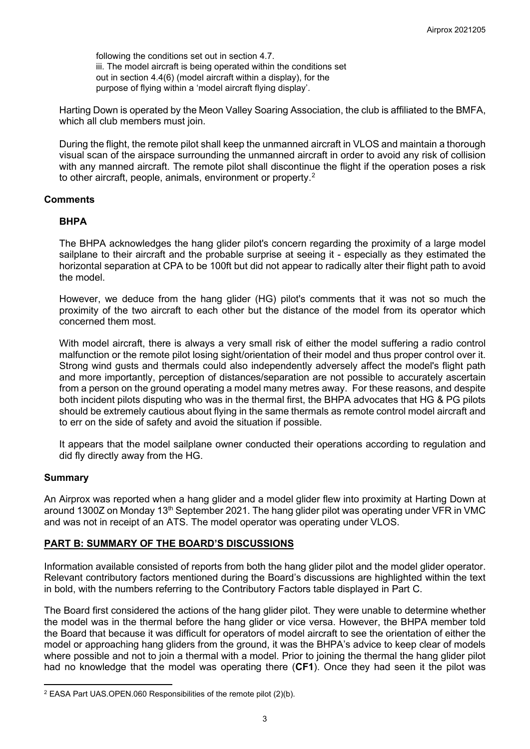following the conditions set out in section 4.7. iii. The model aircraft is being operated within the conditions set out in section 4.4(6) (model aircraft within a display), for the purpose of flying within a 'model aircraft flying display'.

Harting Down is operated by the Meon Valley Soaring Association, the club is affiliated to the BMFA, which all club members must join.

During the flight, the remote pilot shall keep the unmanned aircraft in VLOS and maintain a thorough visual scan of the airspace surrounding the unmanned aircraft in order to avoid any risk of collision with any manned aircraft. The remote pilot shall discontinue the flight if the operation poses a risk to other aircraft, people, animals, environment or property.<sup>[2](#page-2-0)</sup>

### **Comments**

### **BHPA**

The BHPA acknowledges the hang glider pilot's concern regarding the proximity of a large model sailplane to their aircraft and the probable surprise at seeing it - especially as they estimated the horizontal separation at CPA to be 100ft but did not appear to radically alter their flight path to avoid the model.

However, we deduce from the hang glider (HG) pilot's comments that it was not so much the proximity of the two aircraft to each other but the distance of the model from its operator which concerned them most.

With model aircraft, there is always a very small risk of either the model suffering a radio control malfunction or the remote pilot losing sight/orientation of their model and thus proper control over it. Strong wind gusts and thermals could also independently adversely affect the model's flight path and more importantly, perception of distances/separation are not possible to accurately ascertain from a person on the ground operating a model many metres away. For these reasons, and despite both incident pilots disputing who was in the thermal first, the BHPA advocates that HG & PG pilots should be extremely cautious about flying in the same thermals as remote control model aircraft and to err on the side of safety and avoid the situation if possible.

It appears that the model sailplane owner conducted their operations according to regulation and did fly directly away from the HG.

#### **Summary**

An Airprox was reported when a hang glider and a model glider flew into proximity at Harting Down at around 1300Z on Monday 13<sup>th</sup> September 2021. The hang glider pilot was operating under VFR in VMC and was not in receipt of an ATS. The model operator was operating under VLOS.

## **PART B: SUMMARY OF THE BOARD'S DISCUSSIONS**

Information available consisted of reports from both the hang glider pilot and the model glider operator. Relevant contributory factors mentioned during the Board's discussions are highlighted within the text in bold, with the numbers referring to the Contributory Factors table displayed in Part C.

The Board first considered the actions of the hang glider pilot. They were unable to determine whether the model was in the thermal before the hang glider or vice versa. However, the BHPA member told the Board that because it was difficult for operators of model aircraft to see the orientation of either the model or approaching hang gliders from the ground, it was the BHPA's advice to keep clear of models where possible and not to join a thermal with a model. Prior to joining the thermal the hang glider pilot had no knowledge that the model was operating there (**CF1**). Once they had seen it the pilot was

<span id="page-2-0"></span><sup>2</sup> EASA Part UAS.OPEN.060 Responsibilities of the remote pilot (2)(b).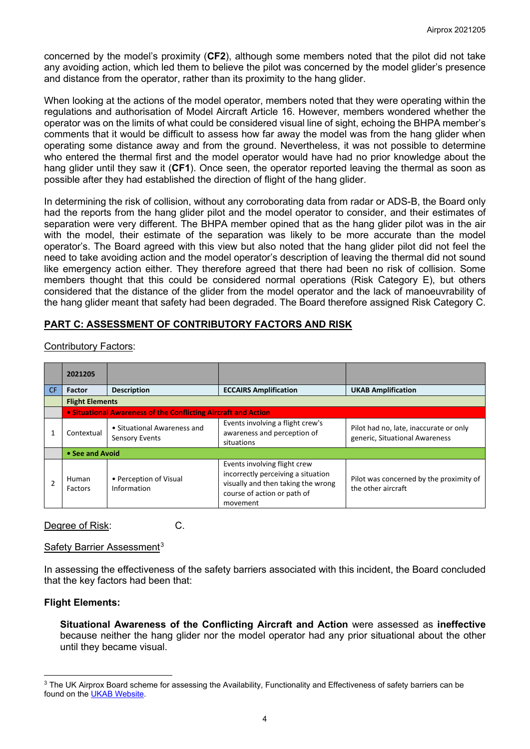concerned by the model's proximity (**CF2**), although some members noted that the pilot did not take any avoiding action, which led them to believe the pilot was concerned by the model glider's presence and distance from the operator, rather than its proximity to the hang glider.

When looking at the actions of the model operator, members noted that they were operating within the regulations and authorisation of Model Aircraft Article 16. However, members wondered whether the operator was on the limits of what could be considered visual line of sight, echoing the BHPA member's comments that it would be difficult to assess how far away the model was from the hang glider when operating some distance away and from the ground. Nevertheless, it was not possible to determine who entered the thermal first and the model operator would have had no prior knowledge about the hang glider until they saw it (**CF1**). Once seen, the operator reported leaving the thermal as soon as possible after they had established the direction of flight of the hang glider.

In determining the risk of collision, without any corroborating data from radar or ADS-B, the Board only had the reports from the hang glider pilot and the model operator to consider, and their estimates of separation were very different. The BHPA member opined that as the hang glider pilot was in the air with the model, their estimate of the separation was likely to be more accurate than the model operator's. The Board agreed with this view but also noted that the hang glider pilot did not feel the need to take avoiding action and the model operator's description of leaving the thermal did not sound like emergency action either. They therefore agreed that there had been no risk of collision. Some members thought that this could be considered normal operations (Risk Category E), but others considered that the distance of the glider from the model operator and the lack of manoeuvrability of the hang glider meant that safety had been degraded. The Board therefore assigned Risk Category C.

## **PART C: ASSESSMENT OF CONTRIBUTORY FACTORS AND RISK**

|    | 2021205                |                                                                |                                                                                                                                                     |                                                                          |  |  |  |
|----|------------------------|----------------------------------------------------------------|-----------------------------------------------------------------------------------------------------------------------------------------------------|--------------------------------------------------------------------------|--|--|--|
| CF | <b>Factor</b>          | <b>Description</b>                                             | <b>ECCAIRS Amplification</b>                                                                                                                        | <b>UKAB Amplification</b>                                                |  |  |  |
|    | <b>Flight Elements</b> |                                                                |                                                                                                                                                     |                                                                          |  |  |  |
|    |                        | • Situational Awareness of the Conflicting Aircraft and Action |                                                                                                                                                     |                                                                          |  |  |  |
|    | Contextual             | • Situational Awareness and<br><b>Sensory Events</b>           | Events involving a flight crew's<br>awareness and perception of<br>situations                                                                       | Pilot had no, late, inaccurate or only<br>generic, Situational Awareness |  |  |  |
|    |                        | • See and Avoid                                                |                                                                                                                                                     |                                                                          |  |  |  |
|    | Human<br>Factors       | • Perception of Visual<br>Information                          | Events involving flight crew<br>incorrectly perceiving a situation<br>visually and then taking the wrong<br>course of action or path of<br>movement | Pilot was concerned by the proximity of<br>the other aircraft            |  |  |  |

Contributory Factors:

Degree of Risk: C.

#### Safety Barrier Assessment<sup>[3](#page-3-0)</sup>

In assessing the effectiveness of the safety barriers associated with this incident, the Board concluded that the key factors had been that:

#### **Flight Elements:**

**Situational Awareness of the Conflicting Aircraft and Action** were assessed as **ineffective** because neither the hang glider nor the model operator had any prior situational about the other until they became visual.

<span id="page-3-0"></span><sup>&</sup>lt;sup>3</sup> The UK Airprox Board scheme for assessing the Availability, Functionality and Effectiveness of safety barriers can be found on the [UKAB Website.](http://www.airproxboard.org.uk/Learn-more/Airprox-Barrier-Assessment/)